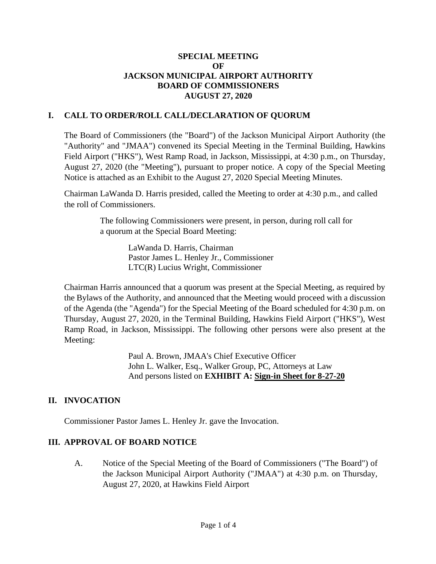#### **SPECIAL MEETING OF JACKSON MUNICIPAL AIRPORT AUTHORITY BOARD OF COMMISSIONERS AUGUST 27, 2020**

### **I. CALL TO ORDER/ROLL CALL/DECLARATION OF QUORUM**

The Board of Commissioners (the "Board") of the Jackson Municipal Airport Authority (the "Authority" and "JMAA") convened its Special Meeting in the Terminal Building, Hawkins Field Airport ("HKS"), West Ramp Road, in Jackson, Mississippi, at 4:30 p.m., on Thursday, August 27, 2020 (the "Meeting"), pursuant to proper notice. A copy of the Special Meeting Notice is attached as an Exhibit to the August 27, 2020 Special Meeting Minutes.

Chairman LaWanda D. Harris presided, called the Meeting to order at 4:30 p.m., and called the roll of Commissioners.

> The following Commissioners were present, in person, during roll call for a quorum at the Special Board Meeting:

> > LaWanda D. Harris, Chairman Pastor James L. Henley Jr., Commissioner LTC(R) Lucius Wright, Commissioner

Chairman Harris announced that a quorum was present at the Special Meeting, as required by the Bylaws of the Authority, and announced that the Meeting would proceed with a discussion of the Agenda (the "Agenda") for the Special Meeting of the Board scheduled for 4:30 p.m. on Thursday, August 27, 2020, in the Terminal Building, Hawkins Field Airport ("HKS"), West Ramp Road, in Jackson, Mississippi. The following other persons were also present at the Meeting:

> Paul A. Brown, JMAA's Chief Executive Officer John L. Walker, Esq., Walker Group, PC, Attorneys at Law And persons listed on **EXHIBIT A: Sign-in Sheet for 8-27-20**

## **II. INVOCATION**

Commissioner Pastor James L. Henley Jr. gave the Invocation.

#### **III. APPROVAL OF BOARD NOTICE**

A. Notice of the Special Meeting of the Board of Commissioners ("The Board") of the Jackson Municipal Airport Authority ("JMAA") at 4:30 p.m. on Thursday, August 27, 2020, at Hawkins Field Airport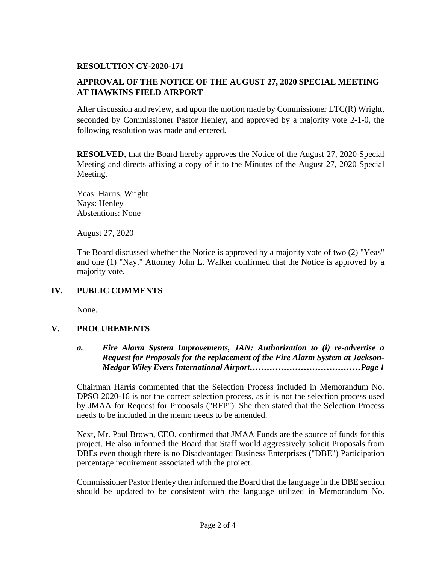### **RESOLUTION CY-2020-171**

# **APPROVAL OF THE NOTICE OF THE AUGUST 27, 2020 SPECIAL MEETING AT HAWKINS FIELD AIRPORT**

After discussion and review, and upon the motion made by Commissioner LTC(R) Wright, seconded by Commissioner Pastor Henley, and approved by a majority vote 2-1-0, the following resolution was made and entered.

**RESOLVED**, that the Board hereby approves the Notice of the August 27, 2020 Special Meeting and directs affixing a copy of it to the Minutes of the August 27, 2020 Special Meeting.

Yeas: Harris, Wright Nays: Henley Abstentions: None

August 27, 2020

The Board discussed whether the Notice is approved by a majority vote of two (2) "Yeas" and one (1) "Nay." Attorney John L. Walker confirmed that the Notice is approved by a majority vote.

#### **IV. PUBLIC COMMENTS**

None.

#### **V. PROCUREMENTS**

*a. Fire Alarm System Improvements, JAN: Authorization to (i) re-advertise a Request for Proposals for the replacement of the Fire Alarm System at Jackson-Medgar Wiley Evers International Airport…………………………………Page 1*

Chairman Harris commented that the Selection Process included in Memorandum No. DPSO 2020-16 is not the correct selection process, as it is not the selection process used by JMAA for Request for Proposals ("RFP"). She then stated that the Selection Process needs to be included in the memo needs to be amended.

Next, Mr. Paul Brown, CEO, confirmed that JMAA Funds are the source of funds for this project. He also informed the Board that Staff would aggressively solicit Proposals from DBEs even though there is no Disadvantaged Business Enterprises ("DBE") Participation percentage requirement associated with the project.

Commissioner Pastor Henley then informed the Board that the language in the DBE section should be updated to be consistent with the language utilized in Memorandum No.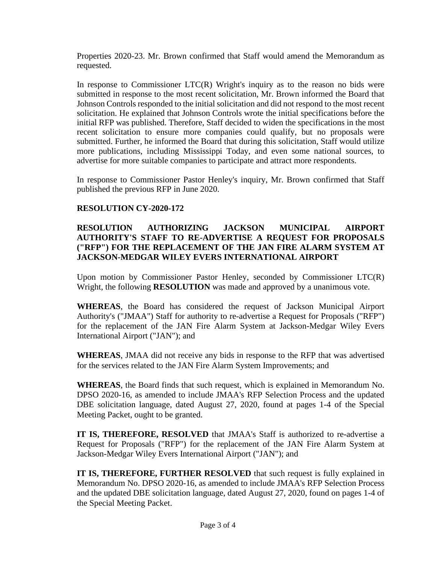Properties 2020-23. Mr. Brown confirmed that Staff would amend the Memorandum as requested.

In response to Commissioner  $LTC(R)$  Wright's inquiry as to the reason no bids were submitted in response to the most recent solicitation, Mr. Brown informed the Board that Johnson Controls responded to the initial solicitation and did not respond to the most recent solicitation. He explained that Johnson Controls wrote the initial specifications before the initial RFP was published. Therefore, Staff decided to widen the specifications in the most recent solicitation to ensure more companies could qualify, but no proposals were submitted. Further, he informed the Board that during this solicitation, Staff would utilize more publications, including Mississippi Today, and even some national sources, to advertise for more suitable companies to participate and attract more respondents.

In response to Commissioner Pastor Henley's inquiry, Mr. Brown confirmed that Staff published the previous RFP in June 2020.

#### **RESOLUTION CY-2020-172**

#### **RESOLUTION AUTHORIZING JACKSON MUNICIPAL AIRPORT AUTHORITY'S STAFF TO RE-ADVERTISE A REQUEST FOR PROPOSALS ("RFP") FOR THE REPLACEMENT OF THE JAN FIRE ALARM SYSTEM AT JACKSON-MEDGAR WILEY EVERS INTERNATIONAL AIRPORT**

Upon motion by Commissioner Pastor Henley, seconded by Commissioner LTC(R) Wright, the following **RESOLUTION** was made and approved by a unanimous vote.

**WHEREAS**, the Board has considered the request of Jackson Municipal Airport Authority's ("JMAA") Staff for authority to re-advertise a Request for Proposals ("RFP") for the replacement of the JAN Fire Alarm System at Jackson-Medgar Wiley Evers International Airport ("JAN"); and

**WHEREAS**, JMAA did not receive any bids in response to the RFP that was advertised for the services related to the JAN Fire Alarm System Improvements; and

**WHEREAS**, the Board finds that such request, which is explained in Memorandum No. DPSO 2020-16, as amended to include JMAA's RFP Selection Process and the updated DBE solicitation language, dated August 27, 2020, found at pages 1-4 of the Special Meeting Packet, ought to be granted.

**IT IS, THEREFORE, RESOLVED** that JMAA's Staff is authorized to re-advertise a Request for Proposals ("RFP") for the replacement of the JAN Fire Alarm System at Jackson-Medgar Wiley Evers International Airport ("JAN"); and

**IT IS, THEREFORE, FURTHER RESOLVED** that such request is fully explained in Memorandum No. DPSO 2020-16, as amended to include JMAA's RFP Selection Process and the updated DBE solicitation language, dated August 27, 2020, found on pages 1-4 of the Special Meeting Packet.